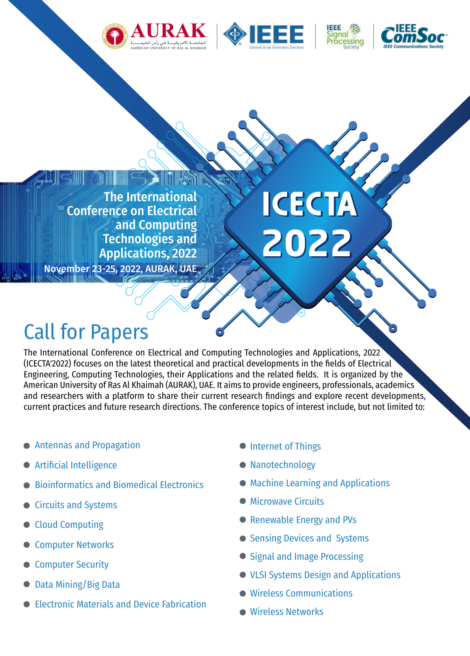







The International Conference on Electrical and Computing Technologies and

November 23-25, 2022, AURAK, UAE

Applications, 2022

# **ICECTA 2022**

# Call for Papers

The International Conference on Electrical and Computing Technologies and Applications, 2022 (ICECTA'2022) focuses on the latest theoretical and practical developments in the fields of Electrical Engineering, Computing Technologies, their Applications and the related fields. It is organized by the American University of Ras Al Khaimah (AURAK), UAE. It aims to provide engineers, professionals, academics and researchers with a platform to share their current research findings and explore recent developments, current practices and future research directions. The conference topics of interest include, but not limited to:

- **Antennas and Propagation**
- **Artificial Intelligence**
- Bioinformatics and Biomedical Electronics
- Circuits and Systems
- Cloud Computing
- **Computer Networks**
- **Computer Security**
- Data Mining/Big Data
- Electronic Materials and Device Fabrication
- **Internet of Things**
- **Nanotechnology**
- Machine Learning and Applications
- **Microwave Circuits**
- Renewable Energy and PVs
- Sensing Devices and Systems
- Signal and Image Processing
- VLSI Systems Design and Applications
- **Wireless Communications**
- **Wireless Networks**